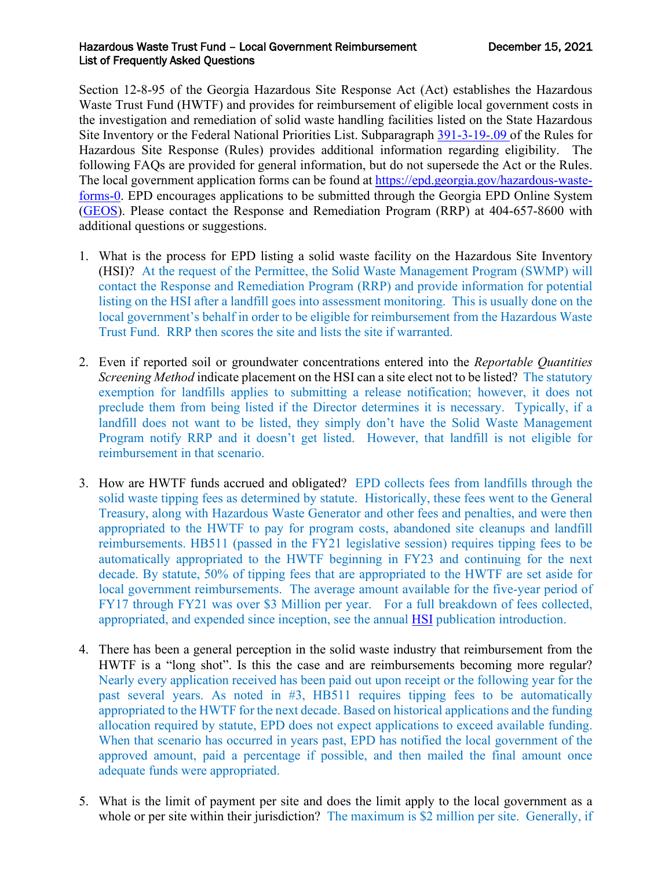## Hazardous Waste Trust Fund - Local Government Reimbursement December 15, 2021 List of Frequently Asked Questions

Section 12-8-95 of the Georgia Hazardous Site Response Act (Act) establishes the Hazardous Waste Trust Fund (HWTF) and provides for reimbursement of eligible local government costs in the investigation and remediation of solid waste handling facilities listed on the State Hazardous Site Inventory or the Federal National Priorities List. Subparagraph [391-3-19-.09](https://rules.sos.ga.gov/GAC/391-3-19-.09) of the Rules for Hazardous Site Response (Rules) provides additional information regarding eligibility. The following FAQs are provided for general information, but do not supersede the Act or the Rules. The local government application forms can be found at [https://epd.georgia.gov/hazardous-waste](https://epd.georgia.gov/hazardous-waste-forms-0)[forms-0.](https://epd.georgia.gov/hazardous-waste-forms-0) EPD encourages applications to be submitted through the Georgia EPD Online System [\(GEOS\)](https://geos.epd.georgia.gov/GA/GEOS/Public/GovEnt/Shared/Pages/Main/Login.aspx). Please contact the Response and Remediation Program (RRP) at 404-657-8600 with additional questions or suggestions.

- 1. What is the process for EPD listing a solid waste facility on the Hazardous Site Inventory (HSI)? At the request of the Permittee, the Solid Waste Management Program (SWMP) will contact the Response and Remediation Program (RRP) and provide information for potential listing on the HSI after a landfill goes into assessment monitoring. This is usually done on the local government's behalf in order to be eligible for reimbursement from the Hazardous Waste Trust Fund. RRP then scores the site and lists the site if warranted.
- 2. Even if reported soil or groundwater concentrations entered into the *Reportable Quantities Screening Method* indicate placement on the HSI can a site elect not to be listed? The statutory exemption for landfills applies to submitting a release notification; however, it does not preclude them from being listed if the Director determines it is necessary. Typically, if a landfill does not want to be listed, they simply don't have the Solid Waste Management Program notify RRP and it doesn't get listed. However, that landfill is not eligible for reimbursement in that scenario.
- 3. How are HWTF funds accrued and obligated? EPD collects fees from landfills through the solid waste tipping fees as determined by statute. Historically, these fees went to the General Treasury, along with Hazardous Waste Generator and other fees and penalties, and were then appropriated to the HWTF to pay for program costs, abandoned site cleanups and landfill reimbursements. HB511 (passed in the FY21 legislative session) requires tipping fees to be automatically appropriated to the HWTF beginning in FY23 and continuing for the next decade. By statute, 50% of tipping fees that are appropriated to the HWTF are set aside for local government reimbursements. The average amount available for the five-year period of FY17 through FY21 was over \$3 Million per year. For a full breakdown of fees collected, appropriated, and expended since inception, see the annual **HSI** publication introduction.
- 4. There has been a general perception in the solid waste industry that reimbursement from the HWTF is a "long shot". Is this the case and are reimbursements becoming more regular? Nearly every application received has been paid out upon receipt or the following year for the past several years. As noted in #3, HB511 requires tipping fees to be automatically appropriated to the HWTF for the next decade. Based on historical applications and the funding allocation required by statute, EPD does not expect applications to exceed available funding. When that scenario has occurred in years past, EPD has notified the local government of the approved amount, paid a percentage if possible, and then mailed the final amount once adequate funds were appropriated.
- 5. What is the limit of payment per site and does the limit apply to the local government as a whole or per site within their jurisdiction? The maximum is \$2 million per site. Generally, if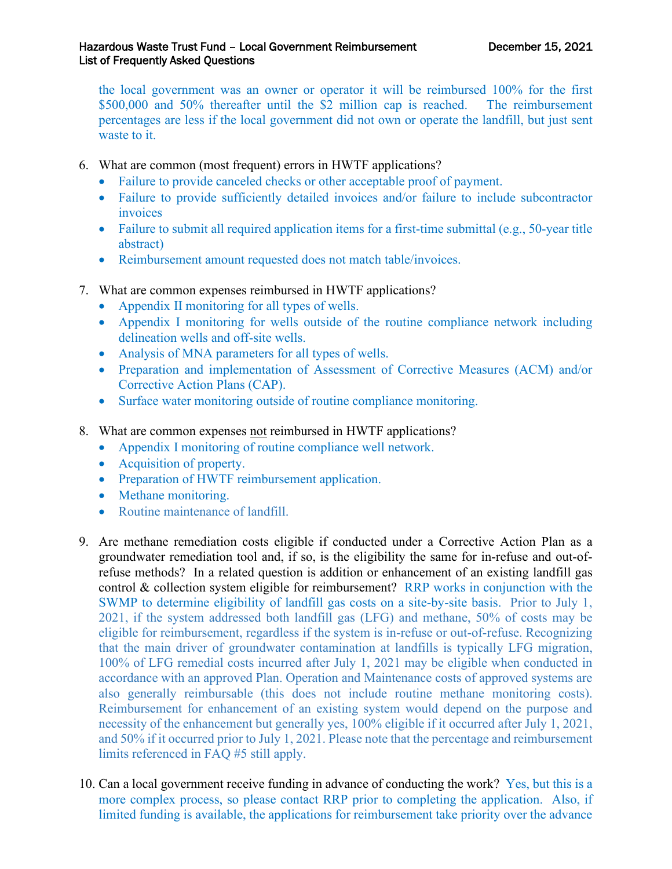the local government was an owner or operator it will be reimbursed 100% for the first \$500,000 and 50% thereafter until the \$2 million cap is reached. The reimbursement percentages are less if the local government did not own or operate the landfill, but just sent waste to it.

- 6. What are common (most frequent) errors in HWTF applications?
	- Failure to provide canceled checks or other acceptable proof of payment.
	- Failure to provide sufficiently detailed invoices and/or failure to include subcontractor invoices
	- Failure to submit all required application items for a first-time submittal (e.g., 50-year title abstract)
	- Reimbursement amount requested does not match table/invoices.
- 7. What are common expenses reimbursed in HWTF applications?
	- Appendix II monitoring for all types of wells.
	- Appendix I monitoring for wells outside of the routine compliance network including delineation wells and off-site wells.
	- Analysis of MNA parameters for all types of wells.
	- Preparation and implementation of Assessment of Corrective Measures (ACM) and/or Corrective Action Plans (CAP).
	- Surface water monitoring outside of routine compliance monitoring.
- 8. What are common expenses not reimbursed in HWTF applications?
	- Appendix I monitoring of routine compliance well network.
	- Acquisition of property.
	- Preparation of HWTF reimbursement application.
	- Methane monitoring.
	- Routine maintenance of landfill.
- 9. Are methane remediation costs eligible if conducted under a Corrective Action Plan as a groundwater remediation tool and, if so, is the eligibility the same for in-refuse and out-ofrefuse methods? In a related question is addition or enhancement of an existing landfill gas control & collection system eligible for reimbursement? RRP works in conjunction with the SWMP to determine eligibility of landfill gas costs on a site-by-site basis. Prior to July 1, 2021, if the system addressed both landfill gas (LFG) and methane, 50% of costs may be eligible for reimbursement, regardless if the system is in-refuse or out-of-refuse. Recognizing that the main driver of groundwater contamination at landfills is typically LFG migration, 100% of LFG remedial costs incurred after July 1, 2021 may be eligible when conducted in accordance with an approved Plan. Operation and Maintenance costs of approved systems are also generally reimbursable (this does not include routine methane monitoring costs). Reimbursement for enhancement of an existing system would depend on the purpose and necessity of the enhancement but generally yes, 100% eligible if it occurred after July 1, 2021, and 50% if it occurred prior to July 1, 2021. Please note that the percentage and reimbursement limits referenced in FAQ #5 still apply.
- 10. Can a local government receive funding in advance of conducting the work? Yes, but this is a more complex process, so please contact RRP prior to completing the application. Also, if limited funding is available, the applications for reimbursement take priority over the advance